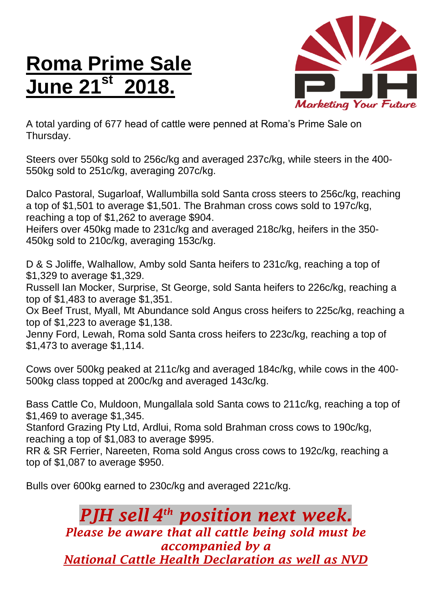## **Roma Prime Sale June 21st 2018.**



A total yarding of 677 head of cattle were penned at Roma's Prime Sale on Thursday.

Steers over 550kg sold to 256c/kg and averaged 237c/kg, while steers in the 400- 550kg sold to 251c/kg, averaging 207c/kg.

Dalco Pastoral, Sugarloaf, Wallumbilla sold Santa cross steers to 256c/kg, reaching a top of \$1,501 to average \$1,501. The Brahman cross cows sold to 197c/kg, reaching a top of \$1,262 to average \$904.

Heifers over 450kg made to 231c/kg and averaged 218c/kg, heifers in the 350- 450kg sold to 210c/kg, averaging 153c/kg.

D & S Joliffe, Walhallow, Amby sold Santa heifers to 231c/kg, reaching a top of \$1,329 to average \$1,329.

Russell Ian Mocker, Surprise, St George, sold Santa heifers to 226c/kg, reaching a top of \$1,483 to average \$1,351.

Ox Beef Trust, Myall, Mt Abundance sold Angus cross heifers to 225c/kg, reaching a top of \$1,223 to average \$1,138.

Jenny Ford, Lewah, Roma sold Santa cross heifers to 223c/kg, reaching a top of \$1,473 to average \$1,114.

Cows over 500kg peaked at 211c/kg and averaged 184c/kg, while cows in the 400- 500kg class topped at 200c/kg and averaged 143c/kg.

Bass Cattle Co, Muldoon, Mungallala sold Santa cows to 211c/kg, reaching a top of \$1,469 to average \$1,345.

Stanford Grazing Pty Ltd, Ardlui, Roma sold Brahman cross cows to 190c/kg, reaching a top of \$1,083 to average \$995.

RR & SR Ferrier, Nareeten, Roma sold Angus cross cows to 192c/kg, reaching a top of \$1,087 to average \$950.

Bulls over 600kg earned to 230c/kg and averaged 221c/kg.

## *PJH sell 4 th position next week. Please be aware that all cattle being sold must be accompanied by a National Cattle Health Declaration as well as NVD*